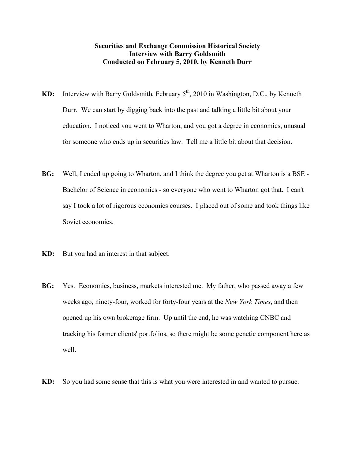## **Securities and Exchange Commission Historical Society Interview with Barry Goldsmith Conducted on February 5, 2010, by Kenneth Durr**

- **KD:** Interview with Barry Goldsmith, February 5<sup>th</sup>, 2010 in Washington, D.C., by Kenneth Durr. We can start by digging back into the past and talking a little bit about your education. I noticed you went to Wharton, and you got a degree in economics, unusual for someone who ends up in securities law. Tell me a little bit about that decision.
- **BG:** Well, I ended up going to Wharton, and I think the degree you get at Wharton is a BSE Bachelor of Science in economics - so everyone who went to Wharton got that. I can't say I took a lot of rigorous economics courses. I placed out of some and took things like Soviet economics.
- **KD:** But you had an interest in that subject.
- **BG:** Yes. Economics, business, markets interested me. My father, who passed away a few weeks ago, ninety-four, worked for forty-four years at the *New York Times*, and then opened up his own brokerage firm. Up until the end, he was watching CNBC and tracking his former clients' portfolios, so there might be some genetic component here as well.
- **KD:** So you had some sense that this is what you were interested in and wanted to pursue.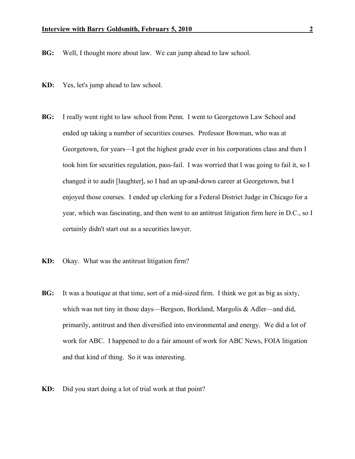- **BG:** Well, I thought more about law. We can jump ahead to law school.
- **KD:** Yes, let's jump ahead to law school.
- **BG:** I really went right to law school from Penn. I went to Georgetown Law School and ended up taking a number of securities courses. Professor Bowman, who was at Georgetown, for years—I got the highest grade ever in his corporations class and then I took him for securities regulation, pass-fail. I was worried that I was going to fail it, so I changed it to audit [laughter], so I had an up-and-down career at Georgetown, but I enjoyed those courses. I ended up clerking for a Federal District Judge in Chicago for a year, which was fascinating, and then went to an antitrust litigation firm here in D.C., so I certainly didn't start out as a securities lawyer.
- **KD:** Okay. What was the antitrust litigation firm?
- **BG:** It was a boutique at that time, sort of a mid-sized firm. I think we got as big as sixty, which was not tiny in those days—Bergson, Borkland, Margolis & Adler—and did, primarily, antitrust and then diversified into environmental and energy. We did a lot of work for ABC. I happened to do a fair amount of work for ABC News, FOIA litigation and that kind of thing. So it was interesting.
- **KD:** Did you start doing a lot of trial work at that point?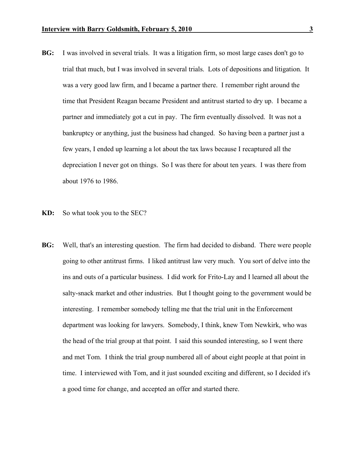- **BG:** I was involved in several trials. It was a litigation firm, so most large cases don't go to trial that much, but I was involved in several trials. Lots of depositions and litigation. It was a very good law firm, and I became a partner there. I remember right around the time that President Reagan became President and antitrust started to dry up. I became a partner and immediately got a cut in pay. The firm eventually dissolved. It was not a bankruptcy or anything, just the business had changed. So having been a partner just a few years, I ended up learning a lot about the tax laws because I recaptured all the depreciation I never got on things. So I was there for about ten years. I was there from about 1976 to 1986.
- **KD:** So what took you to the SEC?
- **BG:** Well, that's an interesting question. The firm had decided to disband. There were people going to other antitrust firms. I liked antitrust law very much. You sort of delve into the ins and outs of a particular business. I did work for Frito-Lay and I learned all about the salty-snack market and other industries. But I thought going to the government would be interesting. I remember somebody telling me that the trial unit in the Enforcement department was looking for lawyers. Somebody, I think, knew Tom Newkirk, who was the head of the trial group at that point. I said this sounded interesting, so I went there and met Tom. I think the trial group numbered all of about eight people at that point in time. I interviewed with Tom, and it just sounded exciting and different, so I decided it's a good time for change, and accepted an offer and started there.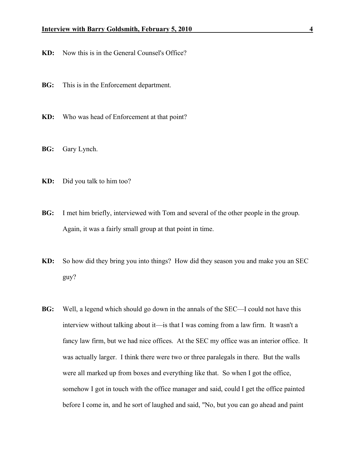- **KD:** Now this is in the General Counsel's Office?
- **BG:** This is in the Enforcement department.
- **KD:** Who was head of Enforcement at that point?
- **BG:** Gary Lynch.
- **KD:** Did you talk to him too?
- **BG:** I met him briefly, interviewed with Tom and several of the other people in the group. Again, it was a fairly small group at that point in time.
- **KD:** So how did they bring you into things? How did they season you and make you an SEC guy?
- **BG:** Well, a legend which should go down in the annals of the SEC—I could not have this interview without talking about it—is that I was coming from a law firm. It wasn't a fancy law firm, but we had nice offices. At the SEC my office was an interior office. It was actually larger. I think there were two or three paralegals in there. But the walls were all marked up from boxes and everything like that. So when I got the office, somehow I got in touch with the office manager and said, could I get the office painted before I come in, and he sort of laughed and said, "No, but you can go ahead and paint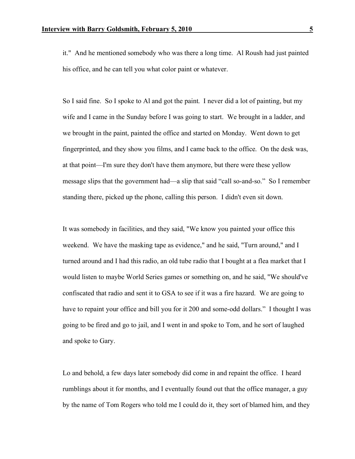it." And he mentioned somebody who was there a long time. Al Roush had just painted his office, and he can tell you what color paint or whatever.

So I said fine. So I spoke to Al and got the paint. I never did a lot of painting, but my wife and I came in the Sunday before I was going to start. We brought in a ladder, and we brought in the paint, painted the office and started on Monday. Went down to get fingerprinted, and they show you films, and I came back to the office. On the desk was, at that point—I'm sure they don't have them anymore, but there were these yellow message slips that the government had—a slip that said "call so-and-so." So I remember standing there, picked up the phone, calling this person. I didn't even sit down.

It was somebody in facilities, and they said, "We know you painted your office this weekend. We have the masking tape as evidence," and he said, "Turn around," and I turned around and I had this radio, an old tube radio that I bought at a flea market that I would listen to maybe World Series games or something on, and he said, "We should've confiscated that radio and sent it to GSA to see if it was a fire hazard. We are going to have to repaint your office and bill you for it 200 and some-odd dollars." I thought I was going to be fired and go to jail, and I went in and spoke to Tom, and he sort of laughed and spoke to Gary.

Lo and behold, a few days later somebody did come in and repaint the office. I heard rumblings about it for months, and I eventually found out that the office manager, a guy by the name of Tom Rogers who told me I could do it, they sort of blamed him, and they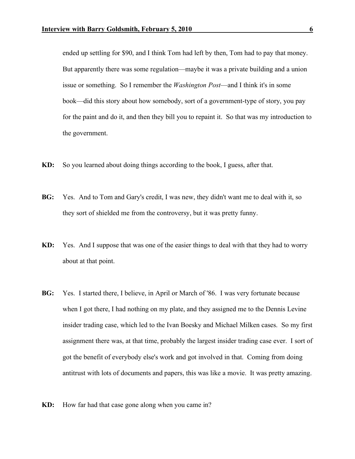ended up settling for \$90, and I think Tom had left by then, Tom had to pay that money. But apparently there was some regulation—maybe it was a private building and a union issue or something. So I remember the *Washington Post*—and I think it's in some book—did this story about how somebody, sort of a government-type of story, you pay for the paint and do it, and then they bill you to repaint it. So that was my introduction to the government.

- **KD:** So you learned about doing things according to the book, I guess, after that.
- **BG:** Yes. And to Tom and Gary's credit, I was new, they didn't want me to deal with it, so they sort of shielded me from the controversy, but it was pretty funny.
- **KD:** Yes. And I suppose that was one of the easier things to deal with that they had to worry about at that point.
- **BG:** Yes. I started there, I believe, in April or March of '86. I was very fortunate because when I got there, I had nothing on my plate, and they assigned me to the Dennis Levine insider trading case, which led to the Ivan Boesky and Michael Milken cases. So my first assignment there was, at that time, probably the largest insider trading case ever. I sort of got the benefit of everybody else's work and got involved in that. Coming from doing antitrust with lots of documents and papers, this was like a movie. It was pretty amazing.
- **KD:** How far had that case gone along when you came in?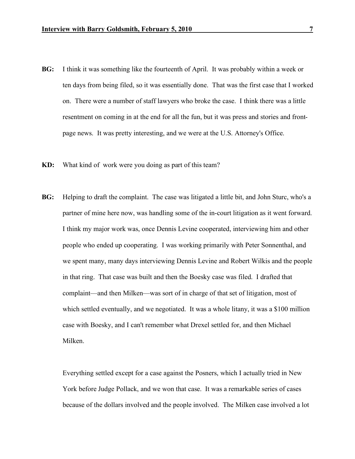- **BG:** I think it was something like the fourteenth of April. It was probably within a week or ten days from being filed, so it was essentially done. That was the first case that I worked on. There were a number of staff lawyers who broke the case. I think there was a little resentment on coming in at the end for all the fun, but it was press and stories and frontpage news. It was pretty interesting, and we were at the U.S. Attorney's Office.
- **KD:** What kind of work were you doing as part of this team?
- **BG:** Helping to draft the complaint. The case was litigated a little bit, and John Sturc, who's a partner of mine here now, was handling some of the in-court litigation as it went forward. I think my major work was, once Dennis Levine cooperated, interviewing him and other people who ended up cooperating. I was working primarily with Peter Sonnenthal, and we spent many, many days interviewing Dennis Levine and Robert Wilkis and the people in that ring. That case was built and then the Boesky case was filed. I drafted that complaint—and then Milken—was sort of in charge of that set of litigation, most of which settled eventually, and we negotiated. It was a whole litany, it was a \$100 million case with Boesky, and I can't remember what Drexel settled for, and then Michael Milken.

Everything settled except for a case against the Posners, which I actually tried in New York before Judge Pollack, and we won that case. It was a remarkable series of cases because of the dollars involved and the people involved. The Milken case involved a lot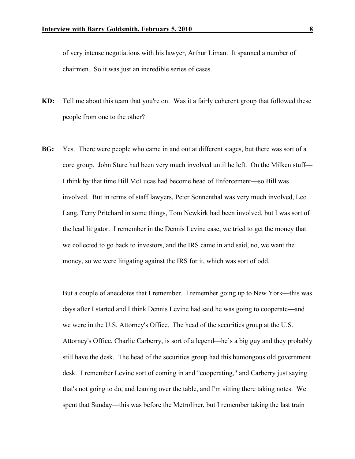of very intense negotiations with his lawyer, Arthur Liman. It spanned a number of chairmen. So it was just an incredible series of cases.

- **KD:** Tell me about this team that you're on. Was it a fairly coherent group that followed these people from one to the other?
- **BG:** Yes. There were people who came in and out at different stages, but there was sort of a core group. John Sturc had been very much involved until he left. On the Milken stuff— I think by that time Bill McLucas had become head of Enforcement—so Bill was involved. But in terms of staff lawyers, Peter Sonnenthal was very much involved, Leo Lang, Terry Pritchard in some things, Tom Newkirk had been involved, but I was sort of the lead litigator. I remember in the Dennis Levine case, we tried to get the money that we collected to go back to investors, and the IRS came in and said, no, we want the money, so we were litigating against the IRS for it, which was sort of odd.

But a couple of anecdotes that I remember. I remember going up to New York—this was days after I started and I think Dennis Levine had said he was going to cooperate—and we were in the U.S. Attorney's Office. The head of the securities group at the U.S. Attorney's Office, Charlie Carberry, is sort of a legend—he's a big guy and they probably still have the desk. The head of the securities group had this humongous old government desk. I remember Levine sort of coming in and "cooperating," and Carberry just saying that's not going to do, and leaning over the table, and I'm sitting there taking notes. We spent that Sunday—this was before the Metroliner, but I remember taking the last train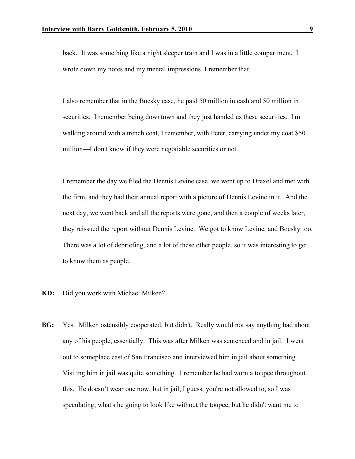back. It was something like a night sleeper train and I was in a little compartment. I wrote down my notes and my mental impressions, I remember that.

I also remember that in the Boesky case, he paid 50 million in cash and 50 million in securities. I remember being downtown and they just handed us these securities. I'm walking around with a trench coat, I remember, with Peter, carrying under my coat \$50 million—I don't know if they were negotiable securities or not.

I remember the day we filed the Dennis Levine case, we went up to Drexel and met with the firm, and they had their annual report with a picture of Dennis Levine in it. And the next day, we went back and all the reports were gone, and then a couple of weeks later, they reissued the report without Dennis Levine. We got to know Levine, and Boesky too. There was a lot of debriefing, and a lot of these other people, so it was interesting to get to know them as people.

- **KD:** Did you work with Michael Milken?
- **BG:** Yes. Milken ostensibly cooperated, but didn't. Really would not say anything bad about any of his people, essentially. This was after Milken was sentenced and in jail. I went out to someplace east of San Francisco and interviewed him in jail about something. Visiting him in jail was quite something. I remember he had worn a toupee throughout this. He doesn't wear one now, but in jail, I guess, you're not allowed to, so I was speculating, what's he going to look like without the toupee, but he didn't want me to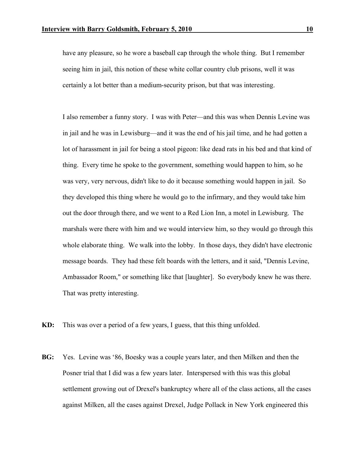have any pleasure, so he wore a baseball cap through the whole thing. But I remember seeing him in jail, this notion of these white collar country club prisons, well it was certainly a lot better than a medium-security prison, but that was interesting.

I also remember a funny story. I was with Peter—and this was when Dennis Levine was in jail and he was in Lewisburg—and it was the end of his jail time, and he had gotten a lot of harassment in jail for being a stool pigeon: like dead rats in his bed and that kind of thing. Every time he spoke to the government, something would happen to him, so he was very, very nervous, didn't like to do it because something would happen in jail. So they developed this thing where he would go to the infirmary, and they would take him out the door through there, and we went to a Red Lion Inn, a motel in Lewisburg. The marshals were there with him and we would interview him, so they would go through this whole elaborate thing. We walk into the lobby. In those days, they didn't have electronic message boards. They had these felt boards with the letters, and it said, "Dennis Levine, Ambassador Room," or something like that [laughter]. So everybody knew he was there. That was pretty interesting.

- **KD:** This was over a period of a few years, I guess, that this thing unfolded.
- **BG:** Yes. Levine was '86, Boesky was a couple years later, and then Milken and then the Posner trial that I did was a few years later. Interspersed with this was this global settlement growing out of Drexel's bankruptcy where all of the class actions, all the cases against Milken, all the cases against Drexel, Judge Pollack in New York engineered this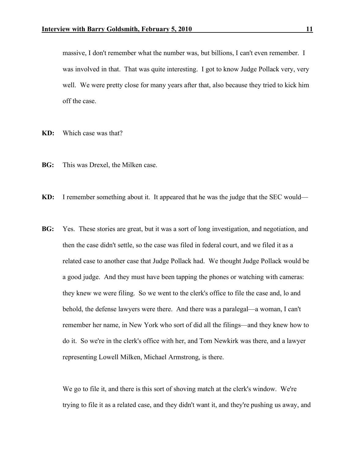massive, I don't remember what the number was, but billions, I can't even remember. I was involved in that. That was quite interesting. I got to know Judge Pollack very, very well. We were pretty close for many years after that, also because they tried to kick him off the case.

**KD:** Which case was that?

**BG:** This was Drexel, the Milken case.

**KD:** I remember something about it. It appeared that he was the judge that the SEC would—

**BG:** Yes. These stories are great, but it was a sort of long investigation, and negotiation, and then the case didn't settle, so the case was filed in federal court, and we filed it as a related case to another case that Judge Pollack had. We thought Judge Pollack would be a good judge. And they must have been tapping the phones or watching with cameras: they knew we were filing. So we went to the clerk's office to file the case and, lo and behold, the defense lawyers were there. And there was a paralegal—a woman, I can't remember her name, in New York who sort of did all the filings—and they knew how to do it. So we're in the clerk's office with her, and Tom Newkirk was there, and a lawyer representing Lowell Milken, Michael Armstrong, is there.

We go to file it, and there is this sort of shoving match at the clerk's window. We're trying to file it as a related case, and they didn't want it, and they're pushing us away, and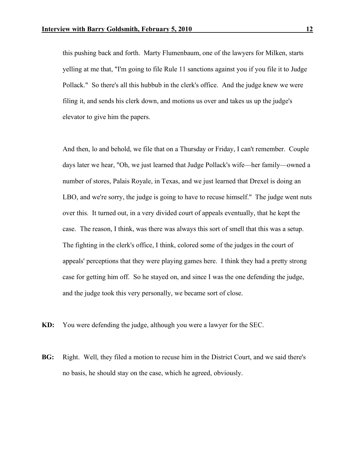this pushing back and forth. Marty Flumenbaum, one of the lawyers for Milken, starts yelling at me that, "I'm going to file Rule 11 sanctions against you if you file it to Judge Pollack." So there's all this hubbub in the clerk's office. And the judge knew we were filing it, and sends his clerk down, and motions us over and takes us up the judge's elevator to give him the papers.

And then, lo and behold, we file that on a Thursday or Friday, I can't remember. Couple days later we hear, "Oh, we just learned that Judge Pollack's wife—her family—owned a number of stores, Palais Royale, in Texas, and we just learned that Drexel is doing an LBO, and we're sorry, the judge is going to have to recuse himself." The judge went nuts over this. It turned out, in a very divided court of appeals eventually, that he kept the case. The reason, I think, was there was always this sort of smell that this was a setup. The fighting in the clerk's office, I think, colored some of the judges in the court of appeals' perceptions that they were playing games here. I think they had a pretty strong case for getting him off. So he stayed on, and since I was the one defending the judge, and the judge took this very personally, we became sort of close.

- **KD:** You were defending the judge, although you were a lawyer for the SEC.
- **BG:** Right. Well, they filed a motion to recuse him in the District Court, and we said there's no basis, he should stay on the case, which he agreed, obviously.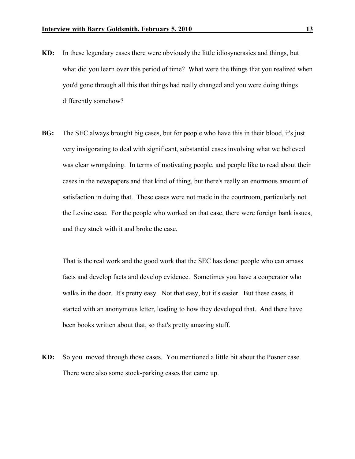- **KD:** In these legendary cases there were obviously the little idiosyncrasies and things, but what did you learn over this period of time? What were the things that you realized when you'd gone through all this that things had really changed and you were doing things differently somehow?
- **BG:** The SEC always brought big cases, but for people who have this in their blood, it's just very invigorating to deal with significant, substantial cases involving what we believed was clear wrongdoing. In terms of motivating people, and people like to read about their cases in the newspapers and that kind of thing, but there's really an enormous amount of satisfaction in doing that. These cases were not made in the courtroom, particularly not the Levine case. For the people who worked on that case, there were foreign bank issues, and they stuck with it and broke the case.

That is the real work and the good work that the SEC has done: people who can amass facts and develop facts and develop evidence. Sometimes you have a cooperator who walks in the door. It's pretty easy. Not that easy, but it's easier. But these cases, it started with an anonymous letter, leading to how they developed that. And there have been books written about that, so that's pretty amazing stuff.

**KD:** So you moved through those cases. You mentioned a little bit about the Posner case. There were also some stock-parking cases that came up.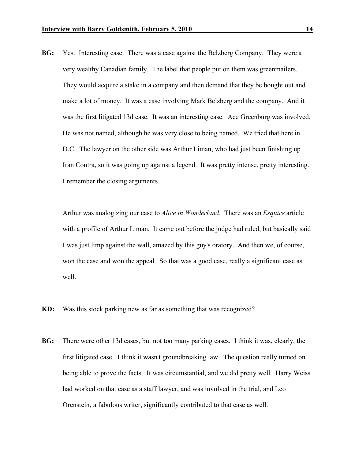**BG:** Yes. Interesting case. There was a case against the Belzberg Company. They were a very wealthy Canadian family. The label that people put on them was greenmailers. They would acquire a stake in a company and then demand that they be bought out and make a lot of money. It was a case involving Mark Belzberg and the company. And it was the first litigated 13d case. It was an interesting case. Ace Greenburg was involved. He was not named, although he was very close to being named. We tried that here in D.C. The lawyer on the other side was Arthur Liman, who had just been finishing up Iran Contra, so it was going up against a legend. It was pretty intense, pretty interesting. I remember the closing arguments.

Arthur was analogizing our case to *Alice in Wonderland*. There was an *Esquire* article with a profile of Arthur Liman. It came out before the judge had ruled, but basically said I was just limp against the wall, amazed by this guy's oratory. And then we, of course, won the case and won the appeal. So that was a good case, really a significant case as well.

- **KD:** Was this stock parking new as far as something that was recognized?
- **BG:** There were other 13d cases, but not too many parking cases. I think it was, clearly, the first litigated case. I think it wasn't groundbreaking law. The question really turned on being able to prove the facts. It was circumstantial, and we did pretty well. Harry Weiss had worked on that case as a staff lawyer, and was involved in the trial, and Leo Orenstein, a fabulous writer, significantly contributed to that case as well.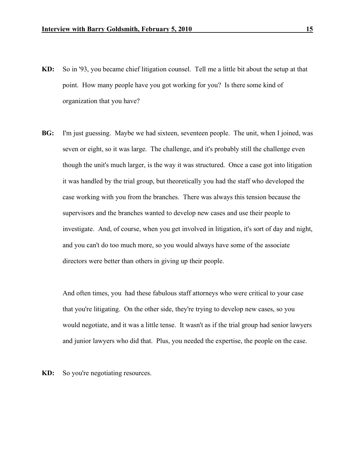- **KD:** So in '93, you became chief litigation counsel. Tell me a little bit about the setup at that point. How many people have you got working for you? Is there some kind of organization that you have?
- **BG:** I'm just guessing. Maybe we had sixteen, seventeen people. The unit, when I joined, was seven or eight, so it was large. The challenge, and it's probably still the challenge even though the unit's much larger, is the way it was structured. Once a case got into litigation it was handled by the trial group, but theoretically you had the staff who developed the case working with you from the branches. There was always this tension because the supervisors and the branches wanted to develop new cases and use their people to investigate. And, of course, when you get involved in litigation, it's sort of day and night, and you can't do too much more, so you would always have some of the associate directors were better than others in giving up their people.

And often times, you had these fabulous staff attorneys who were critical to your case that you're litigating. On the other side, they're trying to develop new cases, so you would negotiate, and it was a little tense. It wasn't as if the trial group had senior lawyers and junior lawyers who did that. Plus, you needed the expertise, the people on the case.

**KD:** So you're negotiating resources.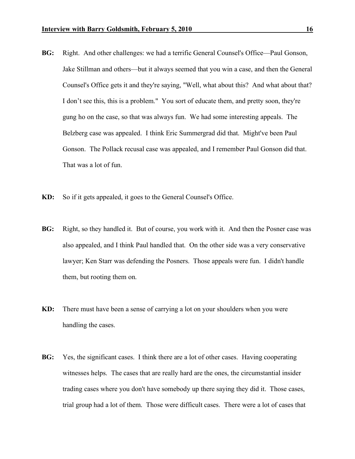- **BG:** Right. And other challenges: we had a terrific General Counsel's Office—Paul Gonson, Jake Stillman and others—but it always seemed that you win a case, and then the General Counsel's Office gets it and they're saying, "Well, what about this? And what about that? I don't see this, this is a problem." You sort of educate them, and pretty soon, they're gung ho on the case, so that was always fun. We had some interesting appeals. The Belzberg case was appealed. I think Eric Summergrad did that. Might've been Paul Gonson. The Pollack recusal case was appealed, and I remember Paul Gonson did that. That was a lot of fun.
- **KD:** So if it gets appealed, it goes to the General Counsel's Office.
- **BG:** Right, so they handled it. But of course, you work with it. And then the Posner case was also appealed, and I think Paul handled that. On the other side was a very conservative lawyer; Ken Starr was defending the Posners. Those appeals were fun. I didn't handle them, but rooting them on.
- **KD:** There must have been a sense of carrying a lot on your shoulders when you were handling the cases.
- **BG:** Yes, the significant cases. I think there are a lot of other cases. Having cooperating witnesses helps. The cases that are really hard are the ones, the circumstantial insider trading cases where you don't have somebody up there saying they did it. Those cases, trial group had a lot of them. Those were difficult cases. There were a lot of cases that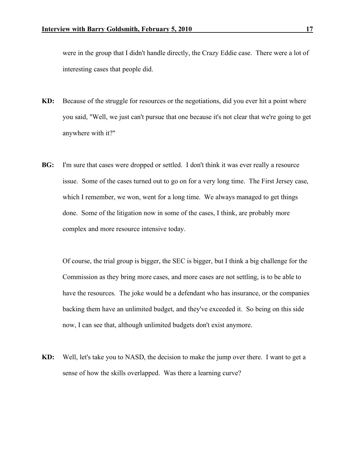were in the group that I didn't handle directly, the Crazy Eddie case. There were a lot of interesting cases that people did.

- **KD:** Because of the struggle for resources or the negotiations, did you ever hit a point where you said, "Well, we just can't pursue that one because it's not clear that we're going to get anywhere with it?"
- **BG:** I'm sure that cases were dropped or settled. I don't think it was ever really a resource issue. Some of the cases turned out to go on for a very long time. The First Jersey case, which I remember, we won, went for a long time. We always managed to get things done. Some of the litigation now in some of the cases, I think, are probably more complex and more resource intensive today.

Of course, the trial group is bigger, the SEC is bigger, but I think a big challenge for the Commission as they bring more cases, and more cases are not settling, is to be able to have the resources. The joke would be a defendant who has insurance, or the companies backing them have an unlimited budget, and they've exceeded it. So being on this side now, I can see that, although unlimited budgets don't exist anymore.

**KD:** Well, let's take you to NASD, the decision to make the jump over there. I want to get a sense of how the skills overlapped. Was there a learning curve?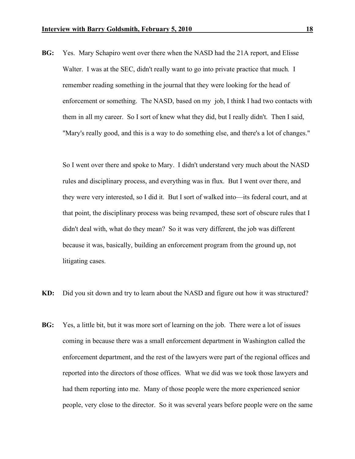**BG:** Yes. Mary Schapiro went over there when the NASD had the 21A report, and Elisse Walter. I was at the SEC, didn't really want to go into private practice that much. I remember reading something in the journal that they were looking for the head of enforcement or something. The NASD, based on my job, I think I had two contacts with them in all my career. So I sort of knew what they did, but I really didn't. Then I said, "Mary's really good, and this is a way to do something else, and there's a lot of changes."

So I went over there and spoke to Mary. I didn't understand very much about the NASD rules and disciplinary process, and everything was in flux. But I went over there, and they were very interested, so I did it. But I sort of walked into—its federal court, and at that point, the disciplinary process was being revamped, these sort of obscure rules that I didn't deal with, what do they mean? So it was very different, the job was different because it was, basically, building an enforcement program from the ground up, not litigating cases.

- **KD:** Did you sit down and try to learn about the NASD and figure out how it was structured?
- **BG:** Yes, a little bit, but it was more sort of learning on the job. There were a lot of issues coming in because there was a small enforcement department in Washington called the enforcement department, and the rest of the lawyers were part of the regional offices and reported into the directors of those offices. What we did was we took those lawyers and had them reporting into me. Many of those people were the more experienced senior people, very close to the director. So it was several years before people were on the same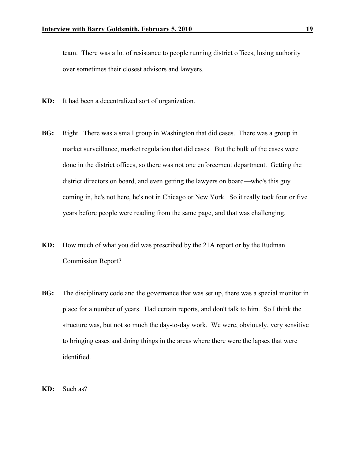team. There was a lot of resistance to people running district offices, losing authority over sometimes their closest advisors and lawyers.

- **KD:** It had been a decentralized sort of organization.
- **BG:** Right. There was a small group in Washington that did cases. There was a group in market surveillance, market regulation that did cases. But the bulk of the cases were done in the district offices, so there was not one enforcement department. Getting the district directors on board, and even getting the lawyers on board—who's this guy coming in, he's not here, he's not in Chicago or New York. So it really took four or five years before people were reading from the same page, and that was challenging.
- **KD:** How much of what you did was prescribed by the 21A report or by the Rudman Commission Report?
- **BG:** The disciplinary code and the governance that was set up, there was a special monitor in place for a number of years. Had certain reports, and don't talk to him. So I think the structure was, but not so much the day-to-day work. We were, obviously, very sensitive to bringing cases and doing things in the areas where there were the lapses that were identified.
- **KD:** Such as?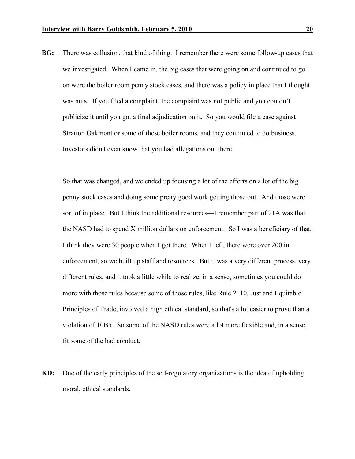**BG:** There was collusion, that kind of thing. I remember there were some follow-up cases that we investigated. When I came in, the big cases that were going on and continued to go on were the boiler room penny stock cases, and there was a policy in place that I thought was nuts. If you filed a complaint, the complaint was not public and you couldn't publicize it until you got a final adjudication on it. So you would file a case against Stratton Oakmont or some of these boiler rooms, and they continued to do business. Investors didn't even know that you had allegations out there.

So that was changed, and we ended up focusing a lot of the efforts on a lot of the big penny stock cases and doing some pretty good work getting those out. And those were sort of in place. But I think the additional resources—I remember part of 21A was that the NASD had to spend X million dollars on enforcement. So I was a beneficiary of that. I think they were 30 people when I got there. When I left, there were over 200 in enforcement, so we built up staff and resources. But it was a very different process, very different rules, and it took a little while to realize, in a sense, sometimes you could do more with those rules because some of those rules, like Rule 2110, Just and Equitable Principles of Trade, involved a high ethical standard, so that's a lot easier to prove than a violation of 10B5. So some of the NASD rules were a lot more flexible and, in a sense, fit some of the bad conduct.

**KD:** One of the early principles of the self-regulatory organizations is the idea of upholding moral, ethical standards.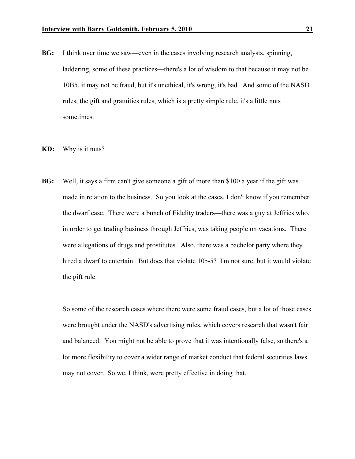- **BG:** I think over time we saw—even in the cases involving research analysts, spinning, laddering, some of these practices—there's a lot of wisdom to that because it may not be 10B5, it may not be fraud, but it's unethical, it's wrong, it's bad. And some of the NASD rules, the gift and gratuities rules, which is a pretty simple rule, it's a little nuts sometimes.
- **KD:** Why is it nuts?
- **BG:** Well, it says a firm can't give someone a gift of more than \$100 a year if the gift was made in relation to the business. So you look at the cases, I don't know if you remember the dwarf case. There were a bunch of Fidelity traders—there was a guy at Jeffries who, in order to get trading business through Jeffries, was taking people on vacations. There were allegations of drugs and prostitutes. Also, there was a bachelor party where they hired a dwarf to entertain. But does that violate 10b-5? I'm not sure, but it would violate the gift rule.

So some of the research cases where there were some fraud cases, but a lot of those cases were brought under the NASD's advertising rules, which covers research that wasn't fair and balanced. You might not be able to prove that it was intentionally false, so there's a lot more flexibility to cover a wider range of market conduct that federal securities laws may not cover. So we, I think, were pretty effective in doing that.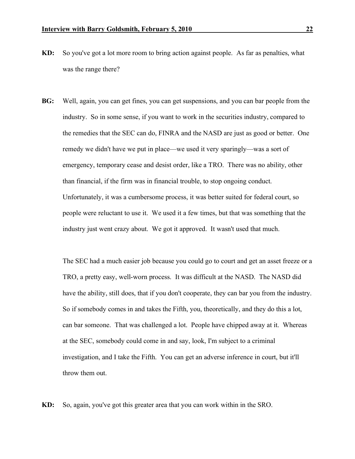- **KD:** So you've got a lot more room to bring action against people. As far as penalties, what was the range there?
- **BG:** Well, again, you can get fines, you can get suspensions, and you can bar people from the industry. So in some sense, if you want to work in the securities industry, compared to the remedies that the SEC can do, FINRA and the NASD are just as good or better. One remedy we didn't have we put in place—we used it very sparingly—was a sort of emergency, temporary cease and desist order, like a TRO. There was no ability, other than financial, if the firm was in financial trouble, to stop ongoing conduct. Unfortunately, it was a cumbersome process, it was better suited for federal court, so people were reluctant to use it. We used it a few times, but that was something that the industry just went crazy about. We got it approved. It wasn't used that much.

The SEC had a much easier job because you could go to court and get an asset freeze or a TRO, a pretty easy, well-worn process. It was difficult at the NASD. The NASD did have the ability, still does, that if you don't cooperate, they can bar you from the industry. So if somebody comes in and takes the Fifth, you, theoretically, and they do this a lot, can bar someone. That was challenged a lot. People have chipped away at it. Whereas at the SEC, somebody could come in and say, look, I'm subject to a criminal investigation, and I take the Fifth. You can get an adverse inference in court, but it'll throw them out.

**KD:** So, again, you've got this greater area that you can work within in the SRO.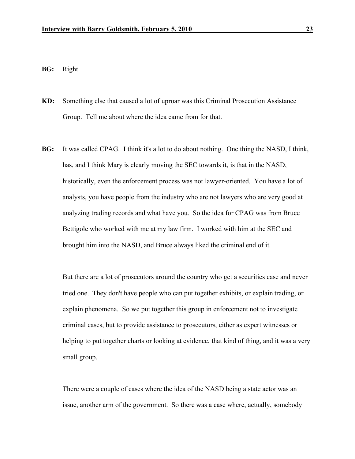**BG:** Right.

- **KD:** Something else that caused a lot of uproar was this Criminal Prosecution Assistance Group. Tell me about where the idea came from for that.
- **BG:** It was called CPAG. I think it's a lot to do about nothing. One thing the NASD, I think, has, and I think Mary is clearly moving the SEC towards it, is that in the NASD, historically, even the enforcement process was not lawyer-oriented. You have a lot of analysts, you have people from the industry who are not lawyers who are very good at analyzing trading records and what have you. So the idea for CPAG was from Bruce Bettigole who worked with me at my law firm. I worked with him at the SEC and brought him into the NASD, and Bruce always liked the criminal end of it.

But there are a lot of prosecutors around the country who get a securities case and never tried one. They don't have people who can put together exhibits, or explain trading, or explain phenomena. So we put together this group in enforcement not to investigate criminal cases, but to provide assistance to prosecutors, either as expert witnesses or helping to put together charts or looking at evidence, that kind of thing, and it was a very small group.

There were a couple of cases where the idea of the NASD being a state actor was an issue, another arm of the government. So there was a case where, actually, somebody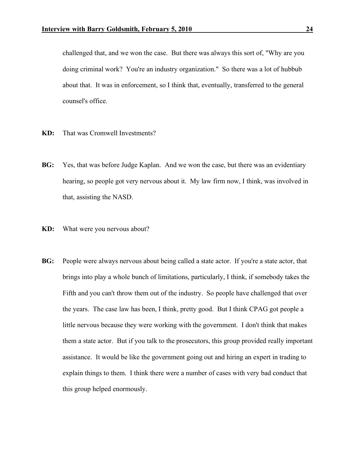challenged that, and we won the case. But there was always this sort of, "Why are you doing criminal work? You're an industry organization." So there was a lot of hubbub about that. It was in enforcement, so I think that, eventually, transferred to the general counsel's office.

- **KD:** That was Cromwell Investments?
- **BG:** Yes, that was before Judge Kaplan. And we won the case, but there was an evidentiary hearing, so people got very nervous about it. My law firm now, I think, was involved in that, assisting the NASD.
- **KD:** What were you nervous about?
- **BG:** People were always nervous about being called a state actor. If you're a state actor, that brings into play a whole bunch of limitations, particularly, I think, if somebody takes the Fifth and you can't throw them out of the industry. So people have challenged that over the years. The case law has been, I think, pretty good. But I think CPAG got people a little nervous because they were working with the government. I don't think that makes them a state actor. But if you talk to the prosecutors, this group provided really important assistance. It would be like the government going out and hiring an expert in trading to explain things to them. I think there were a number of cases with very bad conduct that this group helped enormously.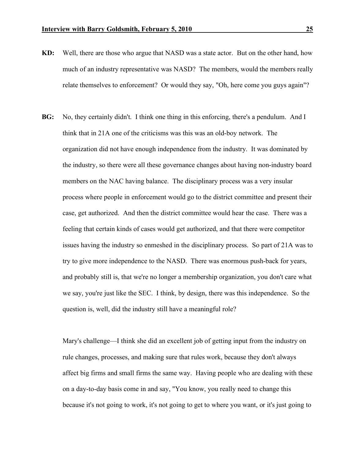- **KD:** Well, there are those who argue that NASD was a state actor. But on the other hand, how much of an industry representative was NASD? The members, would the members really relate themselves to enforcement? Or would they say, "Oh, here come you guys again"?
- **BG:** No, they certainly didn't. I think one thing in this enforcing, there's a pendulum. And I think that in 21A one of the criticisms was this was an old-boy network. The organization did not have enough independence from the industry. It was dominated by the industry, so there were all these governance changes about having non-industry board members on the NAC having balance. The disciplinary process was a very insular process where people in enforcement would go to the district committee and present their case, get authorized. And then the district committee would hear the case. There was a feeling that certain kinds of cases would get authorized, and that there were competitor issues having the industry so enmeshed in the disciplinary process. So part of 21A was to try to give more independence to the NASD. There was enormous push-back for years, and probably still is, that we're no longer a membership organization, you don't care what we say, you're just like the SEC. I think, by design, there was this independence. So the question is, well, did the industry still have a meaningful role?

Mary's challenge—I think she did an excellent job of getting input from the industry on rule changes, processes, and making sure that rules work, because they don't always affect big firms and small firms the same way. Having people who are dealing with these on a day-to-day basis come in and say, "You know, you really need to change this because it's not going to work, it's not going to get to where you want, or it's just going to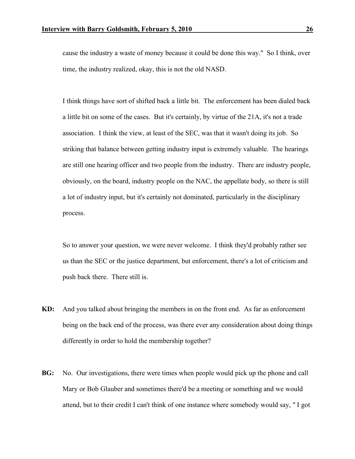cause the industry a waste of money because it could be done this way." So I think, over time, the industry realized, okay, this is not the old NASD.

I think things have sort of shifted back a little bit. The enforcement has been dialed back a little bit on some of the cases. But it's certainly, by virtue of the 21A, it's not a trade association. I think the view, at least of the SEC, was that it wasn't doing its job. So striking that balance between getting industry input is extremely valuable. The hearings are still one hearing officer and two people from the industry. There are industry people, obviously, on the board, industry people on the NAC, the appellate body, so there is still a lot of industry input, but it's certainly not dominated, particularly in the disciplinary process.

So to answer your question, we were never welcome. I think they'd probably rather see us than the SEC or the justice department, but enforcement, there's a lot of criticism and push back there. There still is.

- **KD:** And you talked about bringing the members in on the front end. As far as enforcement being on the back end of the process, was there ever any consideration about doing things differently in order to hold the membership together?
- **BG:** No. Our investigations, there were times when people would pick up the phone and call Mary or Bob Glauber and sometimes there'd be a meeting or something and we would attend, but to their credit I can't think of one instance where somebody would say, " I got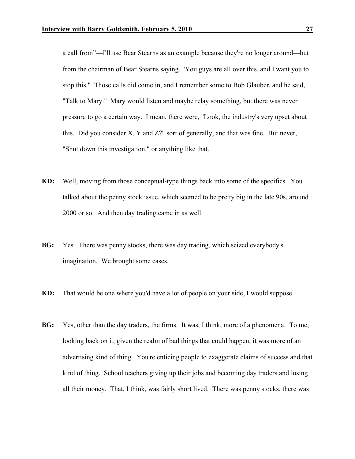a call from"—I'll use Bear Stearns as an example because they're no longer around—but from the chairman of Bear Stearns saying, "You guys are all over this, and I want you to stop this." Those calls did come in, and I remember some to Bob Glauber, and he said, "Talk to Mary." Mary would listen and maybe relay something, but there was never pressure to go a certain way. I mean, there were, "Look, the industry's very upset about this. Did you consider X, Y and Z?" sort of generally, and that was fine. But never, "Shut down this investigation," or anything like that.

- **KD:** Well, moving from those conceptual-type things back into some of the specifics. You talked about the penny stock issue, which seemed to be pretty big in the late 90s, around 2000 or so. And then day trading came in as well.
- **BG:** Yes. There was penny stocks, there was day trading, which seized everybody's imagination. We brought some cases.
- **KD:** That would be one where you'd have a lot of people on your side, I would suppose.
- **BG:** Yes, other than the day traders, the firms. It was, I think, more of a phenomena. To me, looking back on it, given the realm of bad things that could happen, it was more of an advertising kind of thing. You're enticing people to exaggerate claims of success and that kind of thing. School teachers giving up their jobs and becoming day traders and losing all their money. That, I think, was fairly short lived. There was penny stocks, there was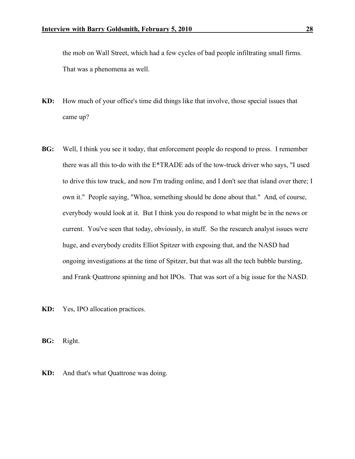the mob on Wall Street, which had a few cycles of bad people infiltrating small firms. That was a phenomena as well.

- **KD:** How much of your office's time did things like that involve, those special issues that came up?
- **BG:** Well, I think you see it today, that enforcement people do respond to press. I remember there was all this to-do with the E\*TRADE ads of the tow-truck driver who says, "I used to drive this tow truck, and now I'm trading online, and I don't see that island over there; I own it." People saying, "Whoa, something should be done about that." And, of course, everybody would look at it. But I think you do respond to what might be in the news or current. You've seen that today, obviously, in stuff. So the research analyst issues were huge, and everybody credits Elliot Spitzer with exposing that, and the NASD had ongoing investigations at the time of Spitzer, but that was all the tech bubble bursting, and Frank Quattrone spinning and hot IPOs. That was sort of a big issue for the NASD.

**KD:** Yes, IPO allocation practices.

**BG:** Right.

**KD:** And that's what Quattrone was doing.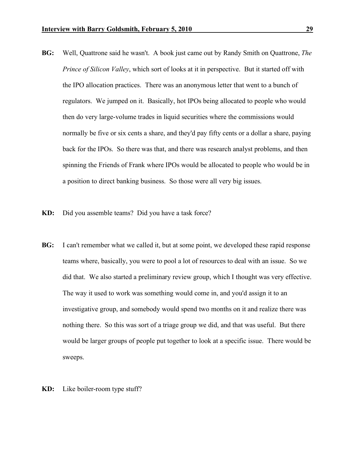- **BG:** Well, Quattrone said he wasn't. A book just came out by Randy Smith on Quattrone, *The Prince of Silicon Valley*, which sort of looks at it in perspective. But it started off with the IPO allocation practices. There was an anonymous letter that went to a bunch of regulators. We jumped on it. Basically, hot IPOs being allocated to people who would then do very large-volume trades in liquid securities where the commissions would normally be five or six cents a share, and they'd pay fifty cents or a dollar a share, paying back for the IPOs. So there was that, and there was research analyst problems, and then spinning the Friends of Frank where IPOs would be allocated to people who would be in a position to direct banking business. So those were all very big issues.
- **KD:** Did you assemble teams? Did you have a task force?
- **BG:** I can't remember what we called it, but at some point, we developed these rapid response teams where, basically, you were to pool a lot of resources to deal with an issue. So we did that. We also started a preliminary review group, which I thought was very effective. The way it used to work was something would come in, and you'd assign it to an investigative group, and somebody would spend two months on it and realize there was nothing there. So this was sort of a triage group we did, and that was useful. But there would be larger groups of people put together to look at a specific issue. There would be sweeps.
- **KD:** Like boiler-room type stuff?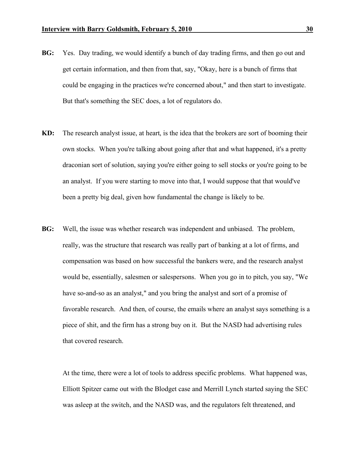- **BG:** Yes. Day trading, we would identify a bunch of day trading firms, and then go out and get certain information, and then from that, say, "Okay, here is a bunch of firms that could be engaging in the practices we're concerned about," and then start to investigate. But that's something the SEC does, a lot of regulators do.
- **KD:** The research analyst issue, at heart, is the idea that the brokers are sort of booming their own stocks. When you're talking about going after that and what happened, it's a pretty draconian sort of solution, saying you're either going to sell stocks or you're going to be an analyst. If you were starting to move into that, I would suppose that that would've been a pretty big deal, given how fundamental the change is likely to be.
- **BG:** Well, the issue was whether research was independent and unbiased. The problem, really, was the structure that research was really part of banking at a lot of firms, and compensation was based on how successful the bankers were, and the research analyst would be, essentially, salesmen or salespersons. When you go in to pitch, you say, "We have so-and-so as an analyst," and you bring the analyst and sort of a promise of favorable research. And then, of course, the emails where an analyst says something is a piece of shit, and the firm has a strong buy on it. But the NASD had advertising rules that covered research.

At the time, there were a lot of tools to address specific problems. What happened was, Elliott Spitzer came out with the Blodget case and Merrill Lynch started saying the SEC was asleep at the switch, and the NASD was, and the regulators felt threatened, and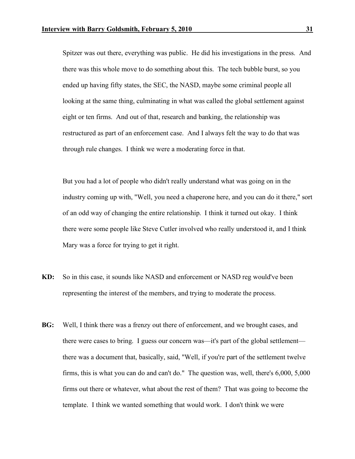Spitzer was out there, everything was public. He did his investigations in the press. And there was this whole move to do something about this. The tech bubble burst, so you ended up having fifty states, the SEC, the NASD, maybe some criminal people all looking at the same thing, culminating in what was called the global settlement against eight or ten firms. And out of that, research and banking, the relationship was restructured as part of an enforcement case. And I always felt the way to do that was through rule changes. I think we were a moderating force in that.

But you had a lot of people who didn't really understand what was going on in the industry coming up with, "Well, you need a chaperone here, and you can do it there," sort of an odd way of changing the entire relationship. I think it turned out okay. I think there were some people like Steve Cutler involved who really understood it, and I think Mary was a force for trying to get it right.

- **KD:** So in this case, it sounds like NASD and enforcement or NASD reg would've been representing the interest of the members, and trying to moderate the process.
- **BG:** Well, I think there was a frenzy out there of enforcement, and we brought cases, and there were cases to bring. I guess our concern was—it's part of the global settlement there was a document that, basically, said, "Well, if you're part of the settlement twelve firms, this is what you can do and can't do." The question was, well, there's 6,000, 5,000 firms out there or whatever, what about the rest of them? That was going to become the template. I think we wanted something that would work. I don't think we were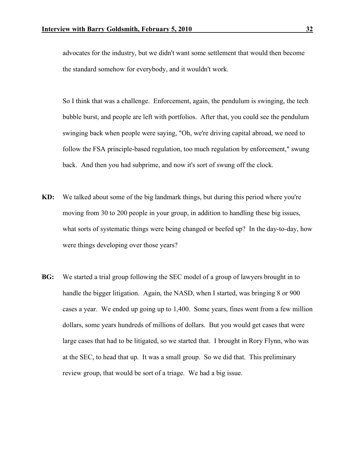advocates for the industry, but we didn't want some settlement that would then become the standard somehow for everybody, and it wouldn't work.

So I think that was a challenge. Enforcement, again, the pendulum is swinging, the tech bubble burst, and people are left with portfolios. After that, you could see the pendulum swinging back when people were saying, "Oh, we're driving capital abroad, we need to follow the FSA principle-based regulation, too much regulation by enforcement," swung back. And then you had subprime, and now it's sort of swung off the clock.

- **KD:** We talked about some of the big landmark things, but during this period where you're moving from 30 to 200 people in your group, in addition to handling these big issues, what sorts of systematic things were being changed or beefed up? In the day-to-day, how were things developing over those years?
- **BG:** We started a trial group following the SEC model of a group of lawyers brought in to handle the bigger litigation. Again, the NASD, when I started, was bringing 8 or 900 cases a year. We ended up going up to 1,400. Some years, fines went from a few million dollars, some years hundreds of millions of dollars. But you would get cases that were large cases that had to be litigated, so we started that. I brought in Rory Flynn, who was at the SEC, to head that up. It was a small group. So we did that. This preliminary review group, that would be sort of a triage. We had a big issue.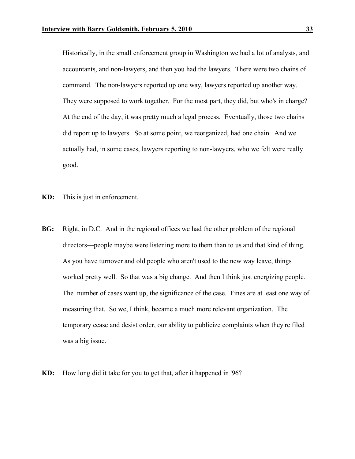Historically, in the small enforcement group in Washington we had a lot of analysts, and accountants, and non-lawyers, and then you had the lawyers. There were two chains of command. The non-lawyers reported up one way, lawyers reported up another way. They were supposed to work together. For the most part, they did, but who's in charge? At the end of the day, it was pretty much a legal process. Eventually, those two chains did report up to lawyers. So at some point, we reorganized, had one chain. And we actually had, in some cases, lawyers reporting to non-lawyers, who we felt were really good.

- **KD:** This is just in enforcement.
- **BG:** Right, in D.C. And in the regional offices we had the other problem of the regional directors—people maybe were listening more to them than to us and that kind of thing. As you have turnover and old people who aren't used to the new way leave, things worked pretty well. So that was a big change. And then I think just energizing people. The number of cases went up, the significance of the case. Fines are at least one way of measuring that. So we, I think, became a much more relevant organization. The temporary cease and desist order, our ability to publicize complaints when they're filed was a big issue.
- **KD:** How long did it take for you to get that, after it happened in '96?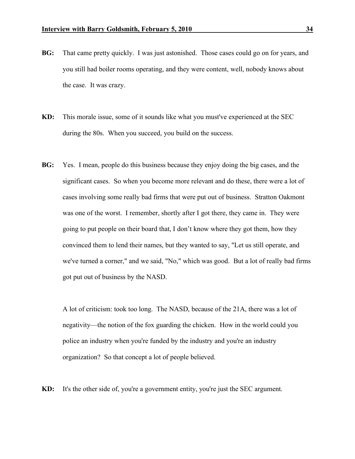- **BG:** That came pretty quickly. I was just astonished. Those cases could go on for years, and you still had boiler rooms operating, and they were content, well, nobody knows about the case. It was crazy.
- **KD:** This morale issue, some of it sounds like what you must've experienced at the SEC during the 80s. When you succeed, you build on the success.
- **BG:** Yes. I mean, people do this business because they enjoy doing the big cases, and the significant cases. So when you become more relevant and do these, there were a lot of cases involving some really bad firms that were put out of business. Stratton Oakmont was one of the worst. I remember, shortly after I got there, they came in. They were going to put people on their board that, I don't know where they got them, how they convinced them to lend their names, but they wanted to say, "Let us still operate, and we've turned a corner," and we said, "No," which was good. But a lot of really bad firms got put out of business by the NASD.

A lot of criticism: took too long. The NASD, because of the 21A, there was a lot of negativity—the notion of the fox guarding the chicken. How in the world could you police an industry when you're funded by the industry and you're an industry organization? So that concept a lot of people believed.

**KD:** It's the other side of, you're a government entity, you're just the SEC argument.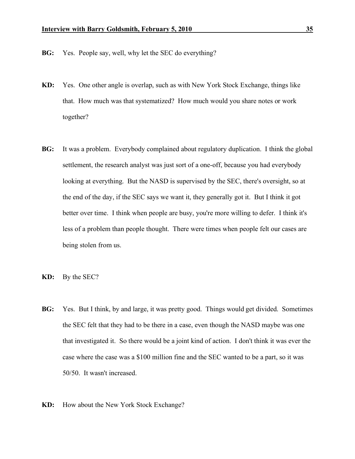- **BG:** Yes. People say, well, why let the SEC do everything?
- **KD:** Yes. One other angle is overlap, such as with New York Stock Exchange, things like that. How much was that systematized? How much would you share notes or work together?
- **BG:** It was a problem. Everybody complained about regulatory duplication. I think the global settlement, the research analyst was just sort of a one-off, because you had everybody looking at everything. But the NASD is supervised by the SEC, there's oversight, so at the end of the day, if the SEC says we want it, they generally got it. But I think it got better over time. I think when people are busy, you're more willing to defer. I think it's less of a problem than people thought. There were times when people felt our cases are being stolen from us.
- **KD:** By the SEC?
- **BG:** Yes. But I think, by and large, it was pretty good. Things would get divided. Sometimes the SEC felt that they had to be there in a case, even though the NASD maybe was one that investigated it. So there would be a joint kind of action. I don't think it was ever the case where the case was a \$100 million fine and the SEC wanted to be a part, so it was 50/50. It wasn't increased.
- **KD:** How about the New York Stock Exchange?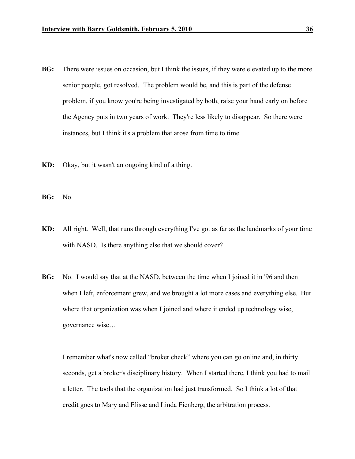- **BG:** There were issues on occasion, but I think the issues, if they were elevated up to the more senior people, got resolved. The problem would be, and this is part of the defense problem, if you know you're being investigated by both, raise your hand early on before the Agency puts in two years of work. They're less likely to disappear. So there were instances, but I think it's a problem that arose from time to time.
- **KD:** Okay, but it wasn't an ongoing kind of a thing.
- **BG:** No.
- **KD:** All right. Well, that runs through everything I've got as far as the landmarks of your time with NASD. Is there anything else that we should cover?
- **BG:** No. I would say that at the NASD, between the time when I joined it in '96 and then when I left, enforcement grew, and we brought a lot more cases and everything else. But where that organization was when I joined and where it ended up technology wise, governance wise…

I remember what's now called "broker check" where you can go online and, in thirty seconds, get a broker's disciplinary history. When I started there, I think you had to mail a letter. The tools that the organization had just transformed. So I think a lot of that credit goes to Mary and Elisse and Linda Fienberg, the arbitration process.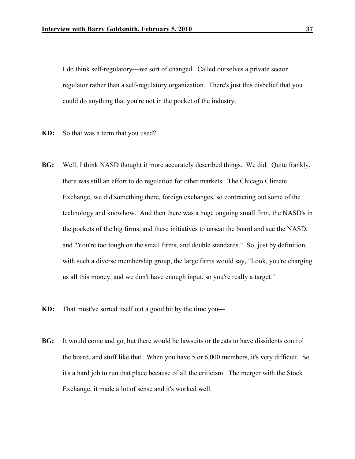I do think self-regulatory—we sort of changed. Called ourselves a private sector regulator rather than a self-regulatory organization. There's just this disbelief that you could do anything that you're not in the pocket of the industry.

- **KD:** So that was a term that you used?
- **BG:** Well, I think NASD thought it more accurately described things. We did. Quite frankly, there was still an effort to do regulation for other markets. The Chicago Climate Exchange, we did something there, foreign exchanges, so contracting out some of the technology and knowhow. And then there was a huge ongoing small firm, the NASD's in the pockets of the big firms, and these initiatives to unseat the board and sue the NASD, and "You're too tough on the small firms, and double standards." So, just by definition, with such a diverse membership group, the large firms would say, "Look, you're charging us all this money, and we don't have enough input, so you're really a target."
- **KD:** That must've sorted itself out a good bit by the time you—
- **BG:** It would come and go, but there would be lawsuits or threats to have dissidents control the board, and stuff like that. When you have 5 or 6,000 members, it's very difficult. So it's a hard job to run that place because of all the criticism. The merger with the Stock Exchange, it made a lot of sense and it's worked well.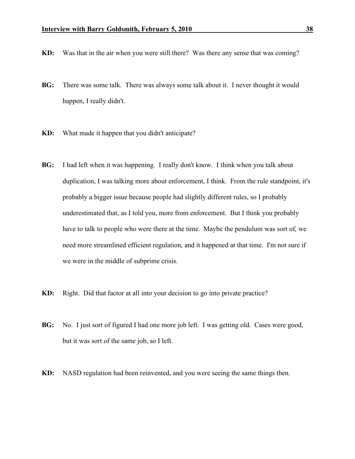- **KD:** Was that in the air when you were still there? Was there any sense that was coming?
- **BG:** There was some talk. There was always some talk about it. I never thought it would happen, I really didn't.
- **KD:** What made it happen that you didn't anticipate?
- **BG:** I had left when it was happening. I really don't know. I think when you talk about duplication, I was talking more about enforcement, I think. From the rule standpoint, it's probably a bigger issue because people had slightly different rules, so I probably underestimated that, as I told you, more from enforcement. But I think you probably have to talk to people who were there at the time. Maybe the pendulum was sort of, we need more streamlined efficient regulation, and it happened at that time. I'm not sure if we were in the middle of subprime crisis.
- **KD:** Right. Did that factor at all into your decision to go into private practice?
- **BG:** No. I just sort of figured I had one more job left. I was getting old. Cases were good, but it was sort of the same job, so I left.
- **KD:** NASD regulation had been reinvented, and you were seeing the same things then.